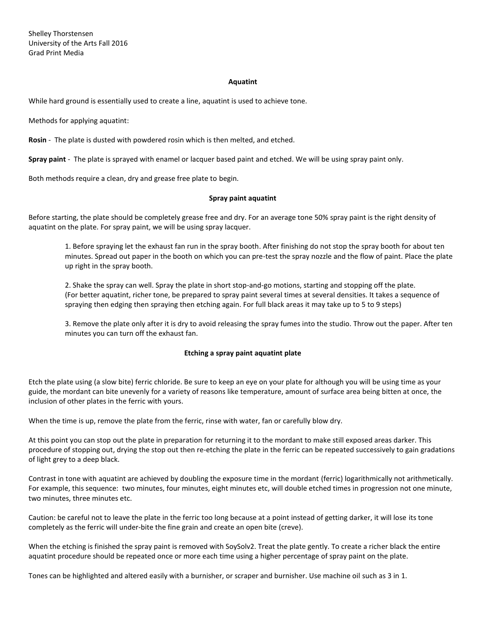Shelley Thorstensen University of the Arts Fall 2016 Grad Print Media

#### **Aquatint**

While hard ground is essentially used to create a line, aquatint is used to achieve tone.

Methods for applying aquatint:

**Rosin** - The plate is dusted with powdered rosin which is then melted, and etched.

**Spray paint** - The plate is sprayed with enamel or lacquer based paint and etched. We will be using spray paint only.

Both methods require a clean, dry and grease free plate to begin.

### **Spray paint aquatint**

Before starting, the plate should be completely grease free and dry. For an average tone 50% spray paint is the right density of aquatint on the plate. For spray paint, we will be using spray lacquer.

1. Before spraying let the exhaust fan run in the spray booth. After finishing do not stop the spray booth for about ten minutes. Spread out paper in the booth on which you can pre-test the spray nozzle and the flow of paint. Place the plate up right in the spray booth.

2. Shake the spray can well. Spray the plate in short stop-and-go motions, starting and stopping off the plate. (For better aquatint, richer tone, be prepared to spray paint several times at several densities. It takes a sequence of spraying then edging then spraying then etching again. For full black areas it may take up to 5 to 9 steps)

3. Remove the plate only after it is dry to avoid releasing the spray fumes into the studio. Throw out the paper. After ten minutes you can turn off the exhaust fan.

#### **Etching a spray paint aquatint plate**

Etch the plate using (a slow bite) ferric chloride. Be sure to keep an eye on your plate for although you will be using time as your guide, the mordant can bite unevenly for a variety of reasons like temperature, amount of surface area being bitten at once, the inclusion of other plates in the ferric with yours.

When the time is up, remove the plate from the ferric, rinse with water, fan or carefully blow dry.

At this point you can stop out the plate in preparation for returning it to the mordant to make still exposed areas darker. This procedure of stopping out, drying the stop out then re-etching the plate in the ferric can be repeated successively to gain gradations of light grey to a deep black.

Contrast in tone with aquatint are achieved by doubling the exposure time in the mordant (ferric) logarithmically not arithmetically. For example, this sequence: two minutes, four minutes, eight minutes etc, will double etched times in progression not one minute, two minutes, three minutes etc.

Caution: be careful not to leave the plate in the ferric too long because at a point instead of getting darker, it will lose its tone completely as the ferric will under-bite the fine grain and create an open bite (creve).

When the etching is finished the spray paint is removed with SoySolv2. Treat the plate gently. To create a richer black the entire aquatint procedure should be repeated once or more each time using a higher percentage of spray paint on the plate.

Tones can be highlighted and altered easily with a burnisher, or scraper and burnisher. Use machine oil such as 3 in 1.